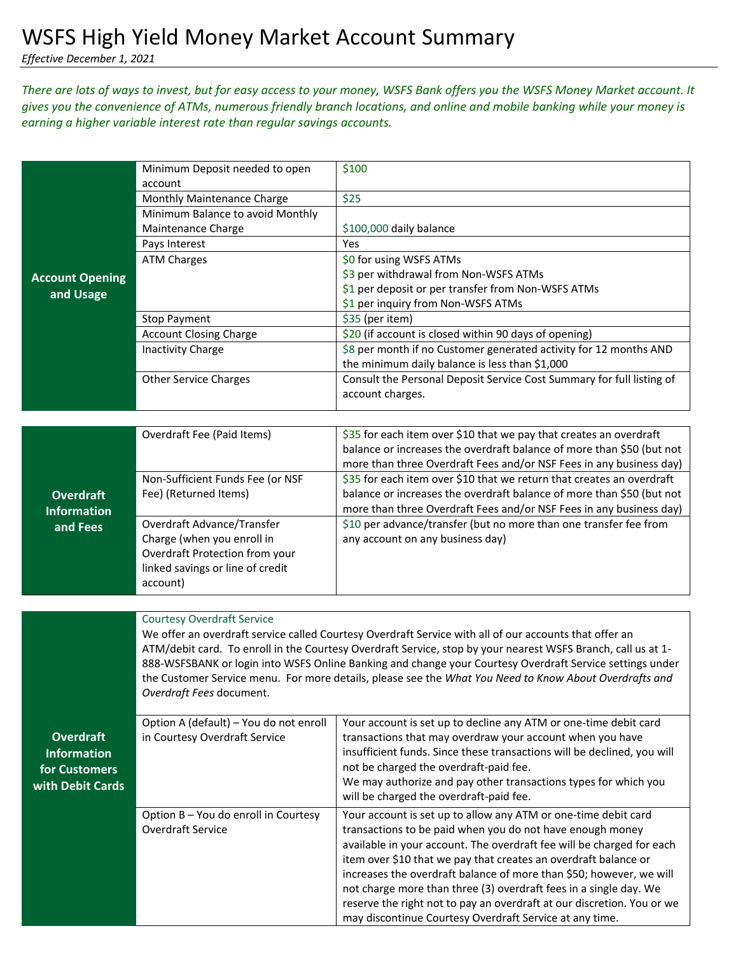*Effective December 1, 2021*

## *There are lots of ways to invest, but for easy access to your money, WSFS Bank offers you the WSFS Money Market account. It gives you the convenience of ATMs, numerous friendly branch locations, and online and mobile banking while your money is earning a higher variable interest rate than regular savings accounts.*

|                                        | Minimum Deposit needed to open<br>account                                                                                          | \$100                                                                                                                                          |  |
|----------------------------------------|------------------------------------------------------------------------------------------------------------------------------------|------------------------------------------------------------------------------------------------------------------------------------------------|--|
|                                        | Monthly Maintenance Charge                                                                                                         | \$25                                                                                                                                           |  |
|                                        | Minimum Balance to avoid Monthly                                                                                                   |                                                                                                                                                |  |
|                                        | Maintenance Charge                                                                                                                 | \$100,000 daily balance                                                                                                                        |  |
|                                        | Pays Interest                                                                                                                      | Yes                                                                                                                                            |  |
|                                        | <b>ATM Charges</b>                                                                                                                 | \$0 for using WSFS ATMs                                                                                                                        |  |
| <b>Account Opening</b>                 |                                                                                                                                    | \$3 per withdrawal from Non-WSFS ATMs                                                                                                          |  |
| and Usage                              |                                                                                                                                    | \$1 per deposit or per transfer from Non-WSFS ATMs                                                                                             |  |
|                                        |                                                                                                                                    | \$1 per inquiry from Non-WSFS ATMs                                                                                                             |  |
|                                        | <b>Stop Payment</b>                                                                                                                | \$35 (per item)                                                                                                                                |  |
|                                        | <b>Account Closing Charge</b>                                                                                                      | \$20 (if account is closed within 90 days of opening)                                                                                          |  |
|                                        | <b>Inactivity Charge</b>                                                                                                           | \$8 per month if no Customer generated activity for 12 months AND                                                                              |  |
|                                        |                                                                                                                                    | the minimum daily balance is less than \$1,000                                                                                                 |  |
|                                        | <b>Other Service Charges</b>                                                                                                       | Consult the Personal Deposit Service Cost Summary for full listing of                                                                          |  |
|                                        |                                                                                                                                    | account charges.                                                                                                                               |  |
|                                        |                                                                                                                                    |                                                                                                                                                |  |
|                                        | Overdraft Fee (Paid Items)                                                                                                         | \$35 for each item over \$10 that we pay that creates an overdraft                                                                             |  |
| <b>Overdraft</b><br><b>Information</b> |                                                                                                                                    | balance or increases the overdraft balance of more than \$50 (but not                                                                          |  |
|                                        |                                                                                                                                    | more than three Overdraft Fees and/or NSF Fees in any business day)                                                                            |  |
|                                        | Non-Sufficient Funds Fee (or NSF<br>Fee) (Returned Items)                                                                          | \$35 for each item over \$10 that we return that creates an overdraft<br>balance or increases the overdraft balance of more than \$50 (but not |  |
|                                        |                                                                                                                                    | more than three Overdraft Fees and/or NSF Fees in any business day)                                                                            |  |
|                                        | Overdraft Advance/Transfer                                                                                                         | \$10 per advance/transfer (but no more than one transfer fee from                                                                              |  |
| and Fees                               | Charge (when you enroll in                                                                                                         | any account on any business day)                                                                                                               |  |
|                                        | Overdraft Protection from your                                                                                                     |                                                                                                                                                |  |
|                                        | linked savings or line of credit                                                                                                   |                                                                                                                                                |  |
|                                        | account)                                                                                                                           |                                                                                                                                                |  |
|                                        |                                                                                                                                    |                                                                                                                                                |  |
|                                        | <b>Courtesy Overdraft Service</b>                                                                                                  |                                                                                                                                                |  |
|                                        | We offer an overdraft service called Courtesy Overdraft Service with all of our accounts that offer an                             |                                                                                                                                                |  |
|                                        | ATM/debit card. To enroll in the Courtesy Overdraft Service, stop by your nearest WSFS Branch, call us at 1-                       |                                                                                                                                                |  |
|                                        | 888-WSFSBANK or login into WSFS Online Banking and change your Courtesy Overdraft Service settings under                           |                                                                                                                                                |  |
|                                        | the Customer Service menu. For more details, please see the What You Need to Know About Overdrafts and<br>Overdraft Fees document. |                                                                                                                                                |  |
|                                        |                                                                                                                                    |                                                                                                                                                |  |
|                                        | Option A (default) - You do not enroll                                                                                             | Your account is set up to decline any ATM or one-time debit card                                                                               |  |
| <b>Overdraft</b>                       | in Courtesy Overdraft Service                                                                                                      | transactions that may overdraw your account when you have                                                                                      |  |
| <b>Information</b>                     |                                                                                                                                    | insufficient funds. Since these transactions will be declined, you will                                                                        |  |
| for Customers                          |                                                                                                                                    | not be charged the overdraft-paid fee.                                                                                                         |  |
| with Debit Cards                       |                                                                                                                                    | We may authorize and pay other transactions types for which you                                                                                |  |
|                                        |                                                                                                                                    | will be charged the overdraft-paid fee.                                                                                                        |  |
|                                        | Option B - You do enroll in Courtesy                                                                                               | Your account is set up to allow any ATM or one-time debit card                                                                                 |  |
|                                        | Overdraft Service                                                                                                                  | transactions to be paid when you do not have enough money                                                                                      |  |
|                                        |                                                                                                                                    | available in your account. The overdraft fee will be charged for each                                                                          |  |
|                                        |                                                                                                                                    | item over \$10 that we pay that creates an overdraft balance or<br>increases the overdraft balance of more than \$50; however, we will         |  |
|                                        |                                                                                                                                    | not charge more than three (3) overdraft fees in a single day. We                                                                              |  |
|                                        |                                                                                                                                    | reserve the right not to pay an overdraft at our discretion. You or we                                                                         |  |
|                                        |                                                                                                                                    | may discontinue Courtesy Overdraft Service at any time.                                                                                        |  |